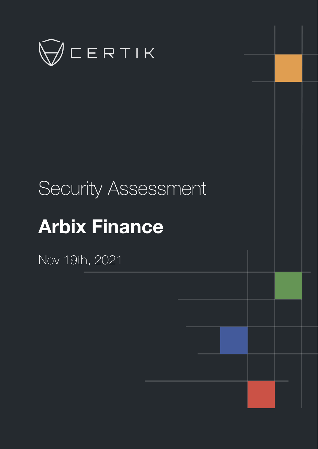

# Security Assessment

# **Arbix Finance**

Nov 19th, 2021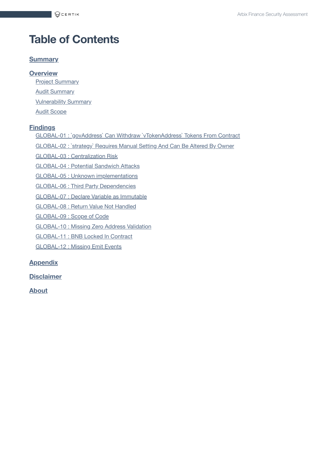# **Table of Contents**

#### **[Summary](#page-2-0)**

- **[Overview](#page-3-0)**
	- Project [Summary](#page-3-1)
	- Audit [Summary](#page-3-2)
	- **[Vulnerability Summary](#page-3-3)**
	- Audit [Scope](#page-4-0)

#### **[Findings](#page-6-0)**

- GLOBAL-01 : `govAddress` Can Withdraw [`vTokenAddress`](#page-8-0) Tokens From Contract
- GLOBAL-02 : `strategy` [Requires Manual](#page-9-0) Setting And Can Be Altered By Owner
- GLOBAL-03 : [Centralization](#page-10-0) Risk
- [GLOBAL-04](#page-13-0) : Potential Sandwich Attacks
- GLOBAL-05 : Unknown [implementations](#page-14-0)
- GLOBAL-06 : Third [Party Dependencies](#page-15-0)
- GLOBAL-07 : Declare Variable [as Immutable](#page-16-0)
- [GLOBAL-08](#page-17-0) : Return Value Not Handled
- [GLOBAL-09](#page-18-0) : Scope of Code
- GLOBAL-10 : Missing Zero [Address Validation](#page-19-0)
- [GLOBAL-11](#page-20-0) : BNB Locked In Contract
- [GLOBAL-12](#page-21-0) : Missing Emit Events

#### **[Appendix](#page-22-0)**

**[Disclaimer](#page-24-0)**

#### **[About](#page-27-0)**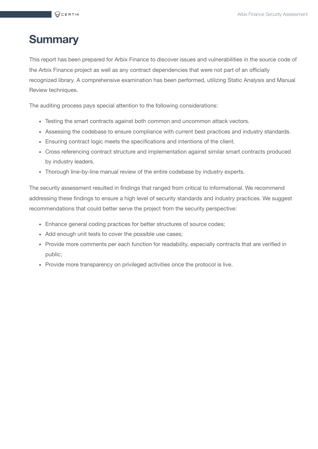## <span id="page-2-0"></span>**Summary**

This report has been prepared for Arbix Finance to discover issues and vulnerabilities in the source code of the Arbix Finance project as well as any contract dependencies that were not part of an officially recognized library. A comprehensive examination has been performed, utilizing Static Analysis and Manual Review techniques.

The auditing process pays special attention to the following considerations:

- Testing the smart contracts against both common and uncommon attack vectors.
- Assessing the codebase to ensure compliance with current best practices and industry standards.
- Ensuring contract logic meets the specifications and intentions of the client.
- Cross referencing contract structure and implementation against similar smart contracts produced by industry leaders.
- Thorough line-by-line manual review of the entire codebase by industry experts.

The security assessment resulted in findings that ranged from critical to informational. We recommend addressing these findings to ensure a high level of security standards and industry practices. We suggest recommendations that could better serve the project from the security perspective:

- Enhance general coding practices for better structures of source codes;
- Add enough unit tests to cover the possible use cases;
- Provide more comments per each function for readability, especially contracts that are verified in public;
- Provide more transparency on privileged activities once the protocol is live.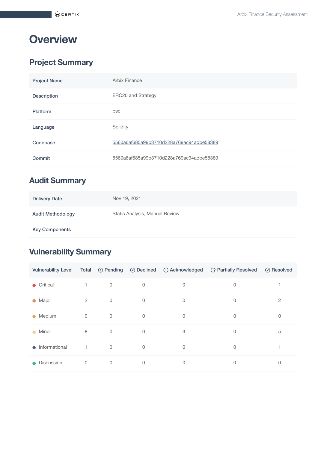# <span id="page-3-0"></span>**Overview**

## <span id="page-3-1"></span>**Project Summary**

| <b>Project Name</b> | Arbix Finance                            |
|---------------------|------------------------------------------|
| <b>Description</b>  | ERC20 and Strategy                       |
| <b>Platform</b>     | bsc                                      |
| Language            | Solidity                                 |
| Codebase            | 5560a6af685a99b3710d228a769ac94adbe58389 |
| Commit              | 5560a6af685a99b3710d228a769ac94adbe58389 |

## <span id="page-3-2"></span>**Audit Summary**

| <b>Delivery Date</b>     | Nov 19, 2021                   |
|--------------------------|--------------------------------|
| <b>Audit Methodology</b> | Static Analysis, Manual Review |
| <b>Key Components</b>    |                                |

## <span id="page-3-3"></span>**Vulnerability Summary**

| <b>Vulnerability Level</b> | Total          |             |          | ① Pending   ② Declined   ① Acknowledged | <sup>1</sup> <sup>2</sup> Partially Resolved | $\oslash$ Resolved |
|----------------------------|----------------|-------------|----------|-----------------------------------------|----------------------------------------------|--------------------|
| $\bullet$ Critical         | 1.             | $\mathbf 0$ | 0        | $\mathbf 0$                             | $\mathbf 0$                                  |                    |
| $\bullet$ Major            | $\overline{2}$ | 0           | 0        | 0                                       | $\mathbf 0$                                  | $\overline{2}$     |
| Medium<br>$\bullet$        | $\mathbf 0$    | $\mathbf 0$ | 0        | $\mathbf 0$                             | $\mathbf 0$                                  | 0                  |
| Minor<br>$\bullet$         | 8              | $\mathbf 0$ | $\Omega$ | 3                                       | $\Omega$                                     | 5                  |
| Informational<br>$\bullet$ | $\overline{1}$ | $\mathbf 0$ | 0        | $\mathbf 0$                             | $\mathbf 0$                                  |                    |
| Discussion<br>$\bullet$    | $\mathbf 0$    | $\mathbf 0$ | $\Omega$ | 0                                       | 0                                            | 0                  |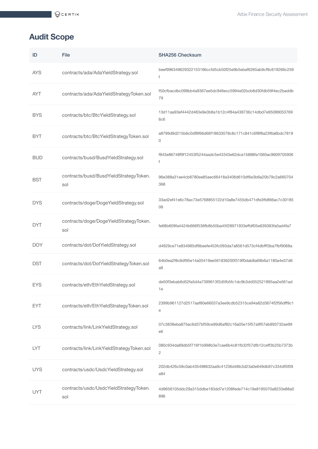## <span id="page-4-0"></span>**Audit Scope**

| ID         | File                                          | <b>SHA256 Checksum</b>                                                          |
|------------|-----------------------------------------------|---------------------------------------------------------------------------------|
| <b>AYS</b> | contracts/ada/AdaYieldStrategy.sol            | beef996349629322153166ccfd5cb50f25e9b5ebaf6265ab9cf9c619266c259<br>f            |
| <b>AYT</b> | contracts/ada/AdaYieldStrategyToken.sol       | f50cfbacdbc098bb4a9367ee5dc946ecc5994e02bcb8d30fdb59f4ec2baddb<br>79            |
| <b>BYS</b> | contracts/btc/BtcYieldStrategy.sol            | 13d11aa93ef4442d483e9e3b8a1b12c4f84a438736c14dbd7e95089053769<br><b>6c6</b>     |
| <b>BYT</b> | contracts/btc/BtcYieldStrategyToken.sol       | a8799d9d215b6c0df8f66d66f18633078c8c171c841c6f8f8a23f6a6bdc7819<br>0            |
| <b>BUD</b> | contracts/busd/BusdYieldStrategy.sol          | f843e86748f9f12453f5244aadc5e43343e62dca15888fa1060ac9609705906<br>f            |
| <b>BST</b> | contracts/busd/BusdYieldStrategyToken.<br>sol | 96e388a31ee4cb8780ee85aec66418a3406d610df6e3b6a20b79c2a660704<br>368            |
| <b>DYS</b> | contracts/doge/DogeYieldStrategy.sol          | 33ad2ef41e6c78ac73e5768855122d10a8e7455db471dfe3fb866ac7c30185<br>08            |
| <b>DYT</b> | contracts/doge/DogeYieldStrategyToken.<br>sol | fe68b609fa4424b666f536fb8b50ba45f28971933effdf05e639383fa5ad4fa7                |
| <b>DOY</b> | contracts/dot/DotYieldStrategy.sol            | d4929ce71e834985df9beefe453fc093da7a8561d573cf4dbfff3ba7fbf9068a                |
| <b>DST</b> | contracts/dot/DotYieldStrategyToken.sol       | 64b0ea2f8c8df95e14a05419ee561836200f318f0dab8a69b6a1180a4e37d6<br>a8            |
| <b>EYS</b> | contracts/eth/EthYieldStrategy.sol            | de50f3ebab6d52fa5d4a7399613f2d5fb5fc1dc9b3dd352521895aa2e561ad<br>1e            |
| <b>EYT</b> | contracts/eth/EthYieldStrategyToken.sol       | 2399b961127d2517aaf80e66037a3ee9cdb52315ce94a82d3674f2f56dff9c1<br>е            |
| <b>LYS</b> | contracts/link/LinkYieldStrategy.sol          | 07c3838eba875ac6d37bf59ce99d6af82c16a05e15f57a9f57eb893732ae99<br>e6            |
| <b>LYT</b> | contracts/link/LinkYieldStrategyToken.sol     | 080c934da89db5f716f1b998b3e7cae6b4c81fb32f57dfb12ceff3b25b7373b<br>$\mathbf{2}$ |
| <b>UYS</b> | contracts/usdc/UsdcYieldStrategy.sol          | 202db426c58c0ab435498632aa9c41236d48b3d23a0e649db97c334df5f09<br>a84            |
| <b>UYT</b> | contracts/usdc/UsdcYieldStrategyToken.<br>sol | 4d9656105ddc29a315ddbe183dd7e1208fede714c19e8195070a8233e88a0<br>896            |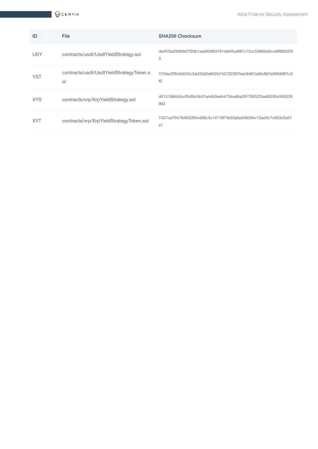| ID         | File                                          | SHA256 Checksum                                                                  |
|------------|-----------------------------------------------|----------------------------------------------------------------------------------|
| <b>USY</b> | contracts/usdt/UsdtYieldStrategy.sol          | de4f7ba290b9d7f20b1ea265993791daf4fca987c72cc5366bb6cc69f6032f3<br>3             |
| <b>YST</b> | contracts/usdt/UsdtYieldStrategyToken.s<br>ol | 1f10ac2f9c0d242c3dd33d5e642b742722267bec9467ad9c667e95fd6f91c5<br>f <sub>0</sub> |
| <b>XYS</b> | contracts/xrp/XrpYieldStrategy.sol            | d5151684b3ccffc69c5b57a44b0ed44754ad6a291792522ba95285c595226<br>962             |
| <b>XYT</b> | contracts/xrp/XrpYieldStrategyToken.sol       | 7427ca7041fb9533f54d38c3c14118f1fe33a5e246394c12ad3c7c003c0a51<br>a1             |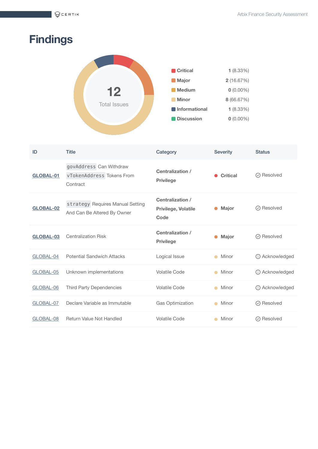$QCERTIK$ 

# <span id="page-6-0"></span>**Findings**



| ID               | <b>Title</b>                                                     | Category                                                      | <b>Severity</b> | <b>Status</b>    |
|------------------|------------------------------------------------------------------|---------------------------------------------------------------|-----------------|------------------|
| GLOBAL-01        | govAddress Can Withdraw<br>vTokenAddress Tokens From<br>Contract | <b>Centralization /</b><br><b>Privilege</b>                   | Critical        | Resolved<br>∞    |
| <b>GLOBAL-02</b> | strategy Requires Manual Setting<br>And Can Be Altered By Owner  | <b>Centralization /</b><br><b>Privilege, Volatile</b><br>Code | <b>Major</b>    | ⊙ Resolved       |
| GLOBAL-03        | <b>Centralization Risk</b>                                       | <b>Centralization /</b><br><b>Privilege</b>                   | Major           | Resolved<br>∞    |
| GLOBAL-04        | <b>Potential Sandwich Attacks</b>                                | Logical Issue                                                 | Minor           | (i) Acknowledged |
| GLOBAL-05        | Unknown implementations                                          | <b>Volatile Code</b>                                          | Minor           | (i) Acknowledged |
| GLOBAL-06        | <b>Third Party Dependencies</b>                                  | <b>Volatile Code</b>                                          | Minor           | (i) Acknowledged |
| GLOBAL-07        | Declare Variable as Immutable                                    | <b>Gas Optimization</b>                                       | Minor           | Resolved<br>∞    |
| GLOBAL-08        | Return Value Not Handled                                         | <b>Volatile Code</b>                                          | Minor           | ⊙ Resolved       |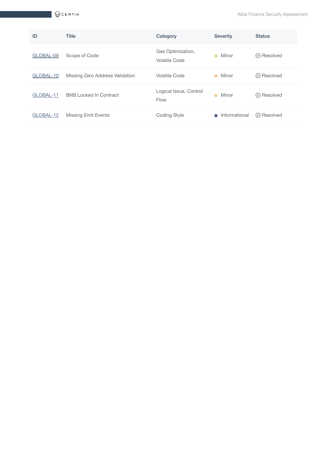| ID        | <b>Title</b>                    | Category                                  | <b>Severity</b>    | <b>Status</b>      |
|-----------|---------------------------------|-------------------------------------------|--------------------|--------------------|
| GLOBAL-09 | Scope of Code                   | Gas Optimization,<br><b>Volatile Code</b> | Minor<br>$\bullet$ | $\oslash$ Resolved |
| GLOBAL-10 | Missing Zero Address Validation | Volatile Code                             | Minor<br>$\bullet$ | ⊙ Resolved         |
| GLOBAL-11 | <b>BNB Locked In Contract</b>   | Logical Issue, Control<br>Flow            | Minor<br>●         | $\oslash$ Resolved |
| GLOBAL-12 | <b>Missing Emit Events</b>      | Coding Style                              | Informational      | $\oslash$ Resolved |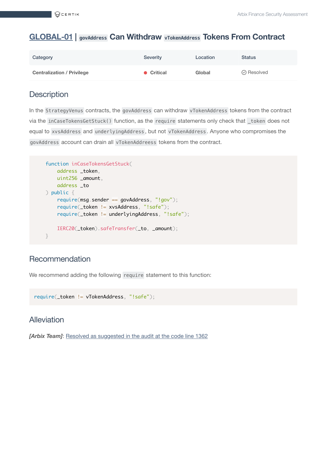#### <span id="page-8-0"></span>**[GLOBAL-01](https://acc.audit.certikpowered.info/project/c0f8fd80-36d5-11ec-bcb7-47bee4d9a036/report?fid=1636755448107) | govAddress Can Withdraw vTokenAddress Tokens From Contract**

| Category                          | Severity   | Location | <b>Status</b>      |
|-----------------------------------|------------|----------|--------------------|
| <b>Centralization / Privilege</b> | ● Critical | Global   | $\oslash$ Resolved |

#### **Description**

In the StrategyVenus contracts, the govAddress can withdraw vTokenAddress tokens from the contract via the inCaseTokensGetStuck() function, as the require statements only check that \_token does not equal to xvsAddress and underlyingAddress , but not vTokenAddress . Anyone who compromises the govAddress account can drain all vTokenAddreess tokens from the contract.

```
 function inCaseTokensGetStuck(
    address _token,
    uint256 _amount,
    address _to
 ) public {
    require(msg.sender == qovAddress, "!gov"); require(_token != xvsAddress, "!safe");
     require(_token != underlyingAddress, "!safe");
     IERC20(_token).safeTransfer(_to, _amount);
 }
```
#### Recommendation

We recommend adding the following require statement to this function:

```
require(_token != vTokenAddress, "!safe");
```
#### Alleviation

**[Arbix Team]:** Resolved [as suggested](https://github.com/victor-arbix/arbix-vault/tree/4631ce34ead650222c2e7048369da45a161f75c0/contracts) in the audit at the code line 1362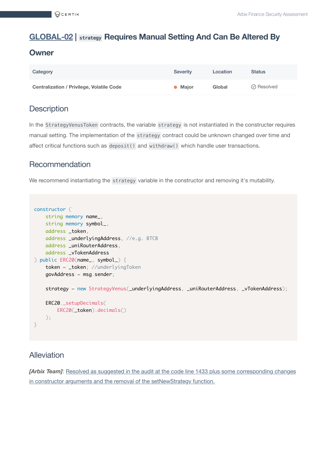#### <span id="page-9-0"></span>**[GLOBAL-02](https://acc.audit.certikpowered.info/project/c0f8fd80-36d5-11ec-bcb7-47bee4d9a036/report?fid=1636765829349) | strategy Requires Manual Setting And Can Be Altered By**

#### **Owner**

| Category                                         | Severity | Location | <b>Status</b>      |
|--------------------------------------------------|----------|----------|--------------------|
| <b>Centralization / Privilege, Volatile Code</b> | • Major  | Global   | $\oslash$ Resolved |

#### **Description**

In the StrategyVenusToken contracts, the variable strategy is not instantiated in the constructer requires manual setting. The implementation of the strategy contract could be unknown changed over time and affect critical functions such as deposit() and withdraw() which handle user transactions.

#### Recommendation

We recommend instantiating the strategy variable in the constructor and removing it's mutability.

```
constructor (
    string memory name_,
    string memory symbol_,
    address _token,
    address _underlyingAddress, //e.g. BTCB
    address _uniRouterAddress,
    address _vTokenAddress
) public ERC20(name_, symbol_) {
    token = _token; //underlyingToken
     govAddress = msg.sender;
     strategy = new StrategyVenus(_underlyingAddress, _uniRouterAddress, _vTokenAddress);
     ERC20._setupDecimals(
         ERC20(_token).decimals()
    );
}
```
#### Alleviation

*[Arbix Team]*: Resolved as suggested in the audit at the code line 1433 plus some corresponding changes in constructor arguments and the removal of the [setNewStrategy function.](https://github.com/victor-arbix/arbix-vault/tree/4631ce34ead650222c2e7048369da45a161f75c0/contracts)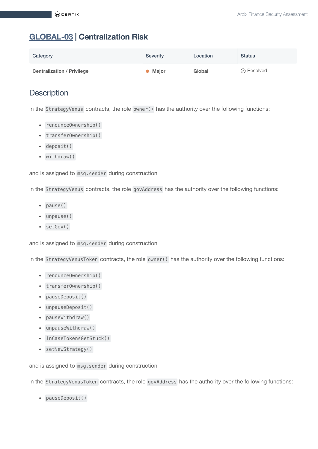### <span id="page-10-0"></span>**[GLOBAL-03](https://acc.audit.certikpowered.info/project/c0f8fd80-36d5-11ec-bcb7-47bee4d9a036/report?fid=1636555230118) | Centralization Risk**

| Category                          | <b>Severity</b> | Location | <b>Status</b>      |
|-----------------------------------|-----------------|----------|--------------------|
| <b>Centralization / Privilege</b> | • Major         | Global   | $\oslash$ Resolved |

#### **Description**

In the StrategyVenus contracts, the role owner() has the authority over the following functions:

- renounceOwnership()
- transferOwnership()
- deposit()
- withdraw()

and is assigned to msg. sender during construction

In the StrategyVenus contracts, the role govAddress has the authority over the following functions:

- pause()
- unpause()
- setGov()

and is assigned to msg. sender during construction

In the StrategyVenusToken contracts, the role owner() has the authority over the following functions:

- renounceOwnership()
- transferOwnership()
- pauseDeposit()
- unpauseDeposit()
- pauseWithdraw()
- unpauseWithdraw()
- inCaseTokensGetStuck()
- setNewStrategy()

and is assigned to msg.sender during construction

In the StrategyVenusToken contracts, the role govAddress has the authority over the following functions:

pauseDeposit()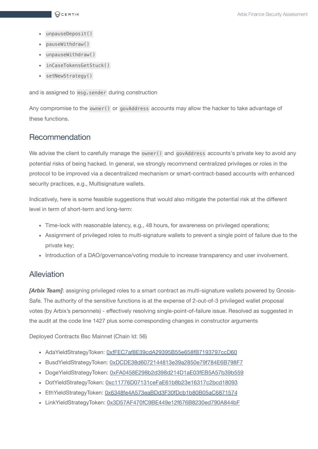- unpauseDeposit()
- pauseWithdraw()
- unpauseWithdraw()
- inCaseTokensGetStuck()
- setNewStrategy()

and is assigned to msg. sender during construction

Any compromise to the owner() or govAddress accounts may allow the hacker to take advantage of these functions.

#### Recommendation

We advise the client to carefully manage the owner() and govAddress accounts's private key to avoid any potential risks of being hacked. In general, we strongly recommend centralized privileges or roles in the protocol to be improved via a decentralized mechanism or smart-contract-based accounts with enhanced security practices, e.g., Multisignature wallets.

Indicatively, here is some feasible suggestions that would also mitigate the potential risk at the different level in term of short-term and long-term:

- Time-lock with reasonable latency, e.g., 48 hours, for awareness on privileged operations;
- Assignment of privileged roles to multi-signature wallets to prevent a single point of failure due to the private key;
- Introduction of a DAO/governance/voting module to increase transparency and user involvement.

#### **Alleviation**

*[Arbix Team]*: assigning privileged roles to a smart contract as multi-signature wallets powered by Gnosis-Safe. The authority of the sensitive functions is at the expense of 2-out-of-3 privileged wallet proposal votes (by Arbix's personnels) - effectively resolving single-point-of-failure issue. Resolved as suggested in the audit at the code line 1427 plus some corresponding changes in constructor arguments

Deployed Contracts Bsc Mainnet (Chain Id: 56)

- AdaYieldStrategyToken: [0xfFEC7af8E39cdA29395B55e658fB7193797ccD60](https://bscscan.com/address/0xfFEC7af8E39cdA29395B55e658fB7193797ccD60#code)
- BusdYieldStrategyToken: [0xDCDE38d6072144813e39a2850e79f784E6B798F7](https://bscscan.com/address/0xDCDE38d6072144813e39a2850e79f784E6B798F7#code)
- DogeYieldStrategyToken: [0xFA0458E298b2d398d214D1aE03fEB5A57b39b559](https://bscscan.com/address/0xFA0458E298b2d398d214D1aE03fEB5A57b39b559#code)
- DotYieldStrategyToken: [0xc11776D07131ceFaE61b8b23e16317c2bcd18093](https://bscscan.com/address/0xc11776D07131ceFaE61b8b23e16317c2bcd18093#code)
- EthYieldStrategyToken: [0x6348fe4A573eaBDd3F30fDcb1b80B05aC6871574](https://bscscan.com/address/0x6348fe4A573eaBDd3F30fDcb1b80B05aC6871574#code)
- LinkYieldStrategyToken: [0x3D57AF470fC9BE449e12f676B8230ed790A844bF](https://bscscan.com/address/0x3D57AF470fC9BE449e12f676B8230ed790A844bF#code)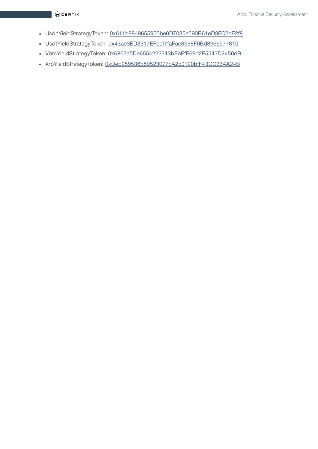- UsdcYieldStrategyToken: [0x611b8849655955be0D7035e590B61eD3FC2eE2f8](https://bscscan.com/address/0x611b8849655955be0D7035e590B61eD3FC2eE2f8#code)
- UsdtYieldStrategyToken: [0x43ae3ED3317EFcef7faFae3068F0Bd8966577810](https://bscscan.com/address/0xFA0458E298b2d398d214D1aE03fEB5A57b39b559#code)
- VbtcYieldStrategyToken: [0x6863a5De6554222313bEbFfE69d2F5543D2450dB](https://bscscan.com/address/0x6863a5De6554222313bEbFfE69d2F5543D2450dB#code)
- XrpYieldStrategyToken: [0xDeE259536b59523077cA2c0120bfF43CC33AA24B](https://bscscan.com/address/0xDeE259536b59523077cA2c0120bfF43CC33AA24B#code)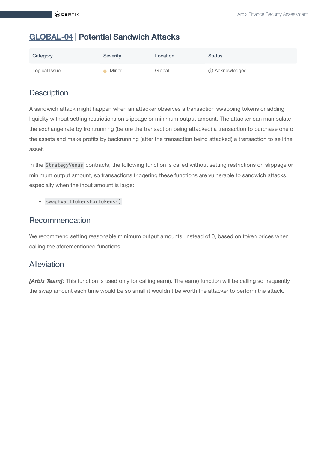## <span id="page-13-0"></span>**[GLOBAL-04](https://acc.audit.certikpowered.info/project/c0f8fd80-36d5-11ec-bcb7-47bee4d9a036/report?fid=1636742804791) | Potential Sandwich Attacks**

| Category      | <b>Severity</b> | Location | <b>Status</b>    |
|---------------|-----------------|----------|------------------|
| Logical Issue | Minor           | Global   | (i) Acknowledged |

## **Description**

A sandwich attack might happen when an attacker observes a transaction swapping tokens or adding liquidity without setting restrictions on slippage or minimum output amount. The attacker can manipulate the exchange rate by frontrunning (before the transaction being attacked) a transaction to purchase one of the assets and make profits by backrunning (after the transaction being attacked) a transaction to sell the asset.

In the StrategyVenus contracts, the following function is called without setting restrictions on slippage or minimum output amount, so transactions triggering these functions are vulnerable to sandwich attacks, especially when the input amount is large:

swapExactTokensForTokens()

#### Recommendation

We recommend setting reasonable minimum output amounts, instead of 0, based on token prices when calling the aforementioned functions.

#### Alleviation

*[Arbix Team]*: This function is used only for calling earn(). The earn() function will be calling so frequently the swap amount each time would be so small it wouldn't be worth the attacker to perform the attack.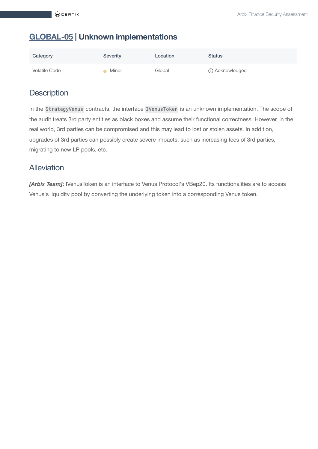## <span id="page-14-0"></span>**[GLOBAL-05](https://acc.audit.certikpowered.info/project/c0f8fd80-36d5-11ec-bcb7-47bee4d9a036/report?fid=1636728529131) | Unknown implementations**

| Category             | <b>Severity</b> | Location | <b>Status</b>    |
|----------------------|-----------------|----------|------------------|
| <b>Volatile Code</b> | Minor           | Global   | (i) Acknowledged |

## **Description**

In the StrategyVenus contracts, the interface IVenusToken is an unknown implementation. The scope of the audit treats 3rd party entities as black boxes and assume their functional correctness. However, in the real world, 3rd parties can be compromised and this may lead to lost or stolen assets. In addition, upgrades of 3rd parties can possibly create severe impacts, such as increasing fees of 3rd parties, migrating to new LP pools, etc.

#### Alleviation

*[Arbix Team]*: IVenusToken is an interface to Venus Protocol's VBep20. Its functionalities are to access Venus's liquidity pool by converting the underlying token into a corresponding Venus token.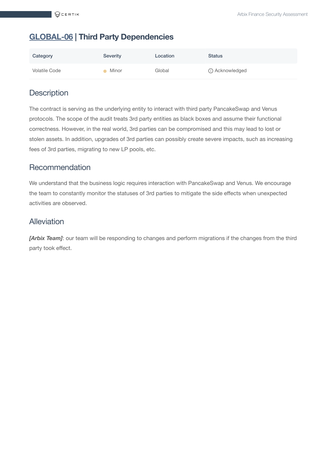## <span id="page-15-0"></span>**[GLOBAL-06](https://acc.audit.certikpowered.info/project/c0f8fd80-36d5-11ec-bcb7-47bee4d9a036/report?fid=1636724468567) | Third Party Dependencies**

| Category             | <b>Severity</b> | Location | <b>Status</b>    |
|----------------------|-----------------|----------|------------------|
| <b>Volatile Code</b> | Minor           | Global   | (i) Acknowledged |

## **Description**

The contract is serving as the underlying entity to interact with third party PancakeSwap and Venus protocols. The scope of the audit treats 3rd party entities as black boxes and assume their functional correctness. However, in the real world, 3rd parties can be compromised and this may lead to lost or stolen assets. In addition, upgrades of 3rd parties can possibly create severe impacts, such as increasing fees of 3rd parties, migrating to new LP pools, etc.

#### Recommendation

We understand that the business logic requires interaction with PancakeSwap and Venus. We encourage the team to constantly monitor the statuses of 3rd parties to mitigate the side effects when unexpected activities are observed.

#### Alleviation

*[Arbix Team]*: our team will be responding to changes and perform migrations if the changes from the third party took effect.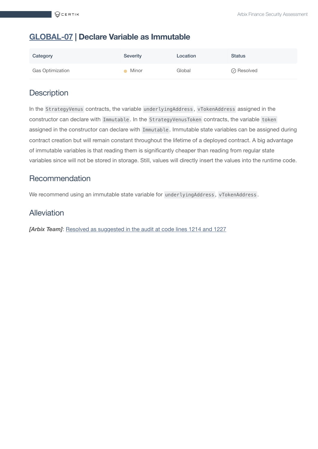#### <span id="page-16-0"></span>**[GLOBAL-07](https://acc.audit.certikpowered.info/project/c0f8fd80-36d5-11ec-bcb7-47bee4d9a036/report?fid=1636556346665) | Declare Variable as Immutable**

| Category                | <b>Severity</b> | Location | <b>Status</b>      |
|-------------------------|-----------------|----------|--------------------|
| <b>Gas Optimization</b> | Minor           | Global   | $\oslash$ Resolved |

#### **Description**

In the StrategyVenus contracts, the variable underlyingAddress , vTokenAddress assigned in the constructor can declare with Immutable . In the StrategyVenusToken contracts, the variable token assigned in the constructor can declare with Immutable . Immutable state variables can be assigned during contract creation but will remain constant throughout the lifetime of a deployed contract. A big advantage of immutable variables is that reading them is significantly cheaper than reading from regular state variables since will not be stored in storage. Still, values will directly insert the values into the runtime code.

#### Recommendation

We recommend using an immutable state variable for underlyingAddress, vTokenAddress.

#### Alleviation

**[Arbix Team]:** Resolved [as suggested](https://github.com/victor-arbix/arbix-vault/tree/4631ce34ead650222c2e7048369da45a161f75c0/contracts) in the audit at code lines 1214 and 1227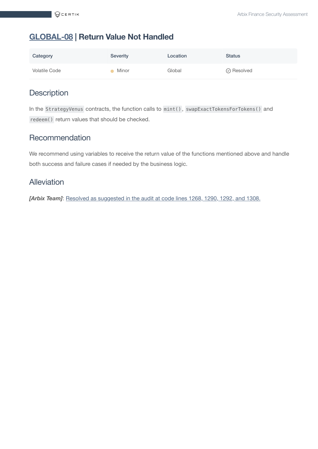## <span id="page-17-0"></span>**[GLOBAL-08](https://acc.audit.certikpowered.info/project/c0f8fd80-36d5-11ec-bcb7-47bee4d9a036/report?fid=1636556809640) | Return Value Not Handled**

| Category      | <b>Severity</b> | Location | <b>Status</b>      |
|---------------|-----------------|----------|--------------------|
| Volatile Code | , Minor         | Global   | $\oslash$ Resolved |

## **Description**

In the StrategyVenus contracts, the function calls to mint() , swapExactTokensForTokens() and redeem() return values that should be checked.

#### Recommendation

We recommend using variables to receive the return value of the functions mentioned above and handle both success and failure cases if needed by the business logic.

#### Alleviation

*[Arbix Team]*: Resolved [as suggested](https://github.com/victor-arbix/arbix-vault/tree/4631ce34ead650222c2e7048369da45a161f75c0/contracts) in the audit at code lines 1268, 1290, 1292, and 1308.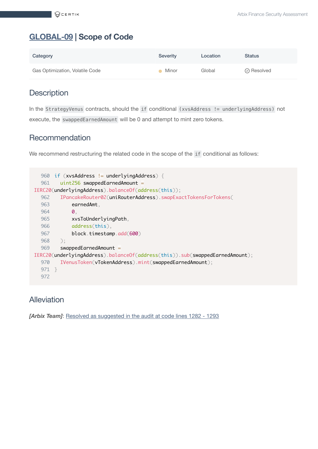## <span id="page-18-0"></span>**[GLOBAL-09](https://acc.audit.certikpowered.info/project/c0f8fd80-36d5-11ec-bcb7-47bee4d9a036/report?fid=1636558606304) | Scope of Code**

| Category                        | <b>Severity</b> | Location | <b>Status</b>      |
|---------------------------------|-----------------|----------|--------------------|
| Gas Optimization, Volatile Code | Minor           | Global   | $\oslash$ Resolved |

#### **Description**

In the StrategyVenus contracts, should the if conditional (xvsAddress != underlyingAddress) not execute, the swappedEarnedAmount will be 0 and attempt to mint zero tokens.

#### Recommendation

We recommend restructuring the related code in the scope of the if conditional as follows:

```
960 if (xvsAddress != underlyingAddress) {
  961 uint256 swappedEarnedAmount =
IERC20(underlyingAddress).balanceOf(address(this));
  962 IPancakeRouter02(uniRouterAddress).swapExactTokensForTokens(
  963 earnedAmt,
  964 0,
  965 xvsToUnderlyingPath,
  966 address(this),
  967 block.timestamp.add(600)
  968 );
  969 swappedEarnedAmount =
IERC20(underlyingAddress).balanceOf(address(this)).sub(swappedEarnedAmount);
  970 IVenusToken(vTokenAddress).mint(swappedEarnedAmount);
  971 }
  972
```
#### Alleviation

**[Arbix Team]:** Resolved [as suggested](https://github.com/victor-arbix/arbix-vault/tree/4631ce34ead650222c2e7048369da45a161f75c0/contracts) in the audit at code lines 1282 - 1293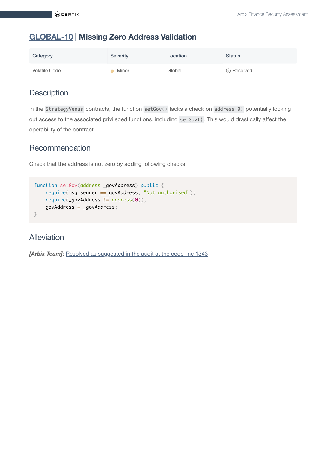## <span id="page-19-0"></span>**[GLOBAL-10](https://acc.audit.certikpowered.info/project/c0f8fd80-36d5-11ec-bcb7-47bee4d9a036/report?fid=1636560530270) | Missing Zero Address Validation**

| Category             | <b>Severity</b> | Location | <b>Status</b>    |
|----------------------|-----------------|----------|------------------|
| <b>Volatile Code</b> | Minor           | Global   | $\odot$ Resolved |

#### **Description**

In the StrategyVenus contracts, the function setGov() lacks a check on address(0) potentially locking out access to the associated privileged functions, including setGov() . This would drastically affect the operability of the contract.

#### Recommendation

Check that the address is not zero by adding following checks.

```
function setGov(address _qovAddress) public {
    require(msg.sender == govAddress, "Not authorised"); require(_govAddress != address(0));
    govAddress = _govAddress;
}
```
#### Alleviation

**[Arbix Team]:** Resolved [as suggested](https://github.com/victor-arbix/arbix-vault/tree/4631ce34ead650222c2e7048369da45a161f75c0/contracts) in the audit at the code line 1343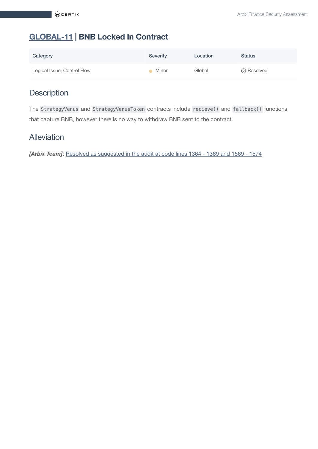## <span id="page-20-0"></span>**[GLOBAL-11](https://acc.audit.certikpowered.info/project/c0f8fd80-36d5-11ec-bcb7-47bee4d9a036/report?fid=1636560871717) | BNB Locked In Contract**

| Category                    | <b>Severity</b> | Location | <b>Status</b>      |
|-----------------------------|-----------------|----------|--------------------|
| Logical Issue, Control Flow | Minor           | Global   | $\oslash$ Resolved |

## **Description**

The StrategyVenus and StrategyVenusToken contracts include recieve() and fallback() functions that capture BNB, however there is no way to withdraw BNB sent to the contract

#### Alleviation

*[Arbix Team]*: Resolved [as suggested](https://github.com/victor-arbix/arbix-vault/tree/4631ce34ead650222c2e7048369da45a161f75c0/contracts) in the audit at code lines 1364 - 1369 and 1569 - 1574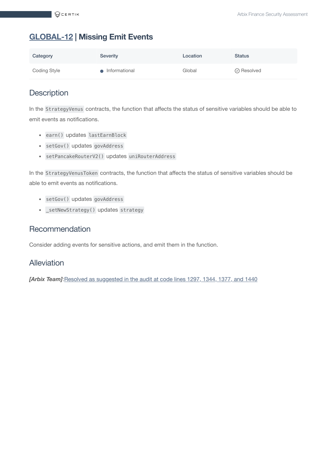## <span id="page-21-0"></span>**[GLOBAL-12](https://acc.audit.certikpowered.info/project/c0f8fd80-36d5-11ec-bcb7-47bee4d9a036/report?fid=1636558865664) | Missing Emit Events**

| Category            | <b>Severity</b> | Location | <b>Status</b>      |
|---------------------|-----------------|----------|--------------------|
| <b>Coding Style</b> | Informational   | Global   | $\oslash$ Resolved |

## **Description**

In the StrategyVenus contracts, the function that affects the status of sensitive variables should be able to emit events as notifications.

- earn() updates lastEarnBlock
- setGov() updates govAddress
- setPancakeRouterV2() updates uniRouterAddress

In the StrategyVenusToken contracts, the function that affects the status of sensitive variables should be able to emit events as notifications.

- setGov() updates govAddress
- \_setNewStrategy() updates strategy

#### Recommendation

Consider adding events for sensitive actions, and emit them in the function.

#### Alleviation

**[Arbix Team]:**Resolved [as suggested](https://github.com/victor-arbix/arbix-vault/tree/4631ce34ead650222c2e7048369da45a161f75c0/contracts) in the audit at code lines 1297, 1344, 1377, and 1440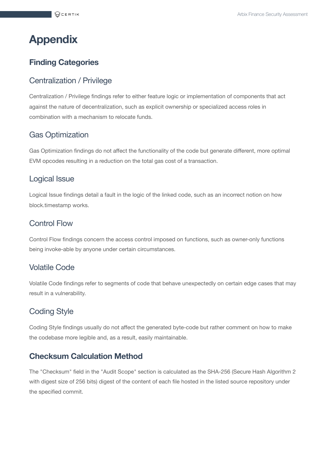# <span id="page-22-0"></span>**Appendix**

### **Finding Categories**

#### Centralization / Privilege

Centralization / Privilege findings refer to either feature logic or implementation of components that act against the nature of decentralization, such as explicit ownership or specialized access roles in combination with a mechanism to relocate funds.

## Gas Optimization

Gas Optimization findings do not affect the functionality of the code but generate different, more optimal EVM opcodes resulting in a reduction on the total gas cost of a transaction.

#### Logical Issue

Logical Issue findings detail a fault in the logic of the linked code, such as an incorrect notion on how block.timestamp works.

#### Control Flow

Control Flow findings concern the access control imposed on functions, such as owner-only functions being invoke-able by anyone under certain circumstances.

#### Volatile Code

Volatile Code findings refer to segments of code that behave unexpectedly on certain edge cases that may result in a vulnerability.

#### Coding Style

Coding Style findings usually do not affect the generated byte-code but rather comment on how to make the codebase more legible and, as a result, easily maintainable.

#### **Checksum Calculation Method**

The "Checksum" field in the "Audit Scope" section is calculated as the SHA-256 (Secure Hash Algorithm 2 with digest size of 256 bits) digest of the content of each file hosted in the listed source repository under the specified commit.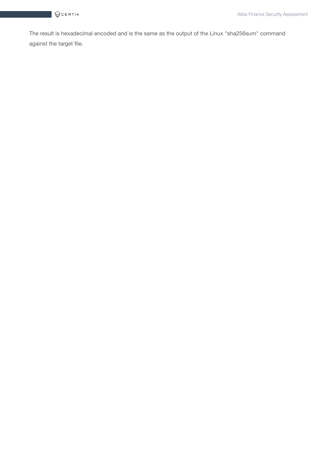The result is hexadecimal encoded and is the same as the output of the Linux "sha256sum" command against the target file.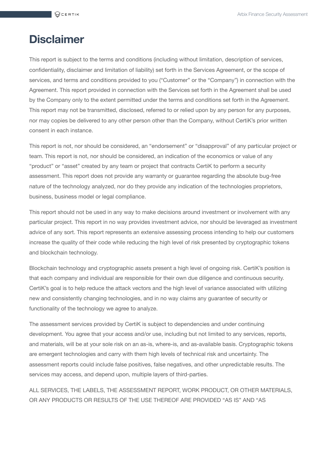## <span id="page-24-0"></span>**Disclaimer**

This report is subject to the terms and conditions (including without limitation, description of services, confidentiality, disclaimer and limitation of liability) set forth in the Services Agreement, or the scope of services, and terms and conditions provided to you ("Customer" or the "Company") in connection with the Agreement. This report provided in connection with the Services set forth in the Agreement shall be used by the Company only to the extent permitted under the terms and conditions set forth in the Agreement. This report may not be transmitted, disclosed, referred to or relied upon by any person for any purposes, nor may copies be delivered to any other person other than the Company, without CertiK's prior written consent in each instance.

This report is not, nor should be considered, an "endorsement" or "disapproval" of any particular project or team. This report is not, nor should be considered, an indication of the economics or value of any "product" or "asset" created by any team or project that contracts CertiK to perform a security assessment. This report does not provide any warranty or guarantee regarding the absolute bug-free nature of the technology analyzed, nor do they provide any indication of the technologies proprietors, business, business model or legal compliance.

This report should not be used in any way to make decisions around investment or involvement with any particular project. This report in no way provides investment advice, nor should be leveraged as investment advice of any sort. This report represents an extensive assessing process intending to help our customers increase the quality of their code while reducing the high level of risk presented by cryptographic tokens and blockchain technology.

Blockchain technology and cryptographic assets present a high level of ongoing risk. CertiK's position is that each company and individual are responsible for their own due diligence and continuous security. CertiK's goal is to help reduce the attack vectors and the high level of variance associated with utilizing new and consistently changing technologies, and in no way claims any guarantee of security or functionality of the technology we agree to analyze.

The assessment services provided by CertiK is subject to dependencies and under continuing development. You agree that your access and/or use, including but not limited to any services, reports, and materials, will be at your sole risk on an as-is, where-is, and as-available basis. Cryptographic tokens are emergent technologies and carry with them high levels of technical risk and uncertainty. The assessment reports could include false positives, false negatives, and other unpredictable results. The services may access, and depend upon, multiple layers of third-parties.

ALL SERVICES, THE LABELS, THE ASSESSMENT REPORT, WORK PRODUCT, OR OTHER MATERIALS, OR ANY PRODUCTS OR RESULTS OF THE USE THEREOF ARE PROVIDED "AS IS" AND "AS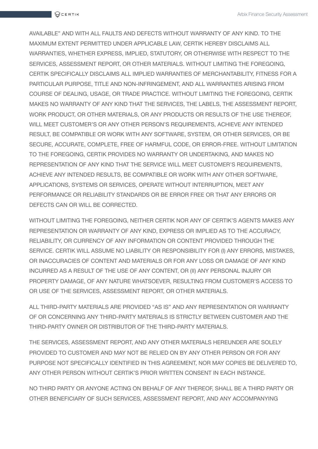AVAILABLE" AND WITH ALL FAULTS AND DEFECTS WITHOUT WARRANTY OF ANY KIND. TO THE MAXIMUM EXTENT PERMITTED UNDER APPLICABLE LAW, CERTIK HEREBY DISCLAIMS ALL WARRANTIES, WHETHER EXPRESS, IMPLIED, STATUTORY, OR OTHERWISE WITH RESPECT TO THE SERVICES, ASSESSMENT REPORT, OR OTHER MATERIALS. WITHOUT LIMITING THE FOREGOING, CERTIK SPECIFICALLY DISCLAIMS ALL IMPLIED WARRANTIES OF MERCHANTABILITY, FITNESS FOR A PARTICULAR PURPOSE, TITLE AND NON-INFRINGEMENT, AND ALL WARRANTIES ARISING FROM COURSE OF DEALING, USAGE, OR TRADE PRACTICE. WITHOUT LIMITING THE FOREGOING, CERTIK MAKES NO WARRANTY OF ANY KIND THAT THE SERVICES, THE LABELS, THE ASSESSMENT REPORT, WORK PRODUCT, OR OTHER MATERIALS, OR ANY PRODUCTS OR RESULTS OF THE USE THEREOF, WILL MEET CUSTOMER'S OR ANY OTHER PERSON'S REQUIREMENTS, ACHIEVE ANY INTENDED RESULT, BE COMPATIBLE OR WORK WITH ANY SOFTWARE, SYSTEM, OR OTHER SERVICES, OR BE SECURE, ACCURATE, COMPLETE, FREE OF HARMFUL CODE, OR ERROR-FREE. WITHOUT LIMITATION TO THE FOREGOING, CERTIK PROVIDES NO WARRANTY OR UNDERTAKING, AND MAKES NO REPRESENTATION OF ANY KIND THAT THE SERVICE WILL MEET CUSTOMER'S REQUIREMENTS, ACHIEVE ANY INTENDED RESULTS, BE COMPATIBLE OR WORK WITH ANY OTHER SOFTWARE, APPLICATIONS, SYSTEMS OR SERVICES, OPERATE WITHOUT INTERRUPTION, MEET ANY PERFORMANCE OR RELIABILITY STANDARDS OR BE ERROR FREE OR THAT ANY ERRORS OR DEFECTS CAN OR WILL BE CORRECTED.

WITHOUT LIMITING THE FOREGOING, NEITHER CERTIK NOR ANY OF CERTIK'S AGENTS MAKES ANY REPRESENTATION OR WARRANTY OF ANY KIND, EXPRESS OR IMPLIED AS TO THE ACCURACY, RELIABILITY, OR CURRENCY OF ANY INFORMATION OR CONTENT PROVIDED THROUGH THE SERVICE. CERTIK WILL ASSUME NO LIABILITY OR RESPONSIBILITY FOR (I) ANY ERRORS, MISTAKES, OR INACCURACIES OF CONTENT AND MATERIALS OR FOR ANY LOSS OR DAMAGE OF ANY KIND INCURRED AS A RESULT OF THE USE OF ANY CONTENT, OR (II) ANY PERSONAL INJURY OR PROPERTY DAMAGE, OF ANY NATURE WHATSOEVER, RESULTING FROM CUSTOMER'S ACCESS TO OR USE OF THE SERVICES, ASSESSMENT REPORT, OR OTHER MATERIALS.

ALL THIRD-PARTY MATERIALS ARE PROVIDED "AS IS" AND ANY REPRESENTATION OR WARRANTY OF OR CONCERNING ANY THIRD-PARTY MATERIALS IS STRICTLY BETWEEN CUSTOMER AND THE THIRD-PARTY OWNER OR DISTRIBUTOR OF THE THIRD-PARTY MATERIALS.

THE SERVICES, ASSESSMENT REPORT, AND ANY OTHER MATERIALS HEREUNDER ARE SOLELY PROVIDED TO CUSTOMER AND MAY NOT BE RELIED ON BY ANY OTHER PERSON OR FOR ANY PURPOSE NOT SPECIFICALLY IDENTIFIED IN THIS AGREEMENT, NOR MAY COPIES BE DELIVERED TO, ANY OTHER PERSON WITHOUT CERTIK'S PRIOR WRITTEN CONSENT IN EACH INSTANCE.

NO THIRD PARTY OR ANYONE ACTING ON BEHALF OF ANY THEREOF, SHALL BE A THIRD PARTY OR OTHER BENEFICIARY OF SUCH SERVICES, ASSESSMENT REPORT, AND ANY ACCOMPANYING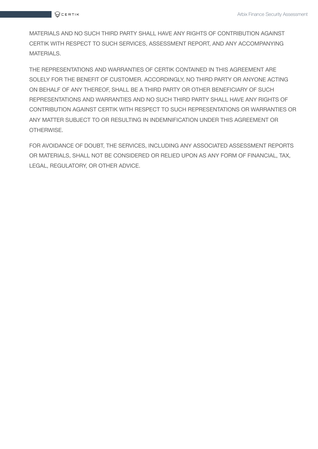MATERIALS AND NO SUCH THIRD PARTY SHALL HAVE ANY RIGHTS OF CONTRIBUTION AGAINST CERTIK WITH RESPECT TO SUCH SERVICES, ASSESSMENT REPORT, AND ANY ACCOMPANYING MATERIALS.

THE REPRESENTATIONS AND WARRANTIES OF CERTIK CONTAINED IN THIS AGREEMENT ARE SOLELY FOR THE BENEFIT OF CUSTOMER. ACCORDINGLY, NO THIRD PARTY OR ANYONE ACTING ON BEHALF OF ANY THEREOF, SHALL BE A THIRD PARTY OR OTHER BENEFICIARY OF SUCH REPRESENTATIONS AND WARRANTIES AND NO SUCH THIRD PARTY SHALL HAVE ANY RIGHTS OF CONTRIBUTION AGAINST CERTIK WITH RESPECT TO SUCH REPRESENTATIONS OR WARRANTIES OR ANY MATTER SUBJECT TO OR RESULTING IN INDEMNIFICATION UNDER THIS AGREEMENT OR OTHERWISE.

FOR AVOIDANCE OF DOUBT, THE SERVICES, INCLUDING ANY ASSOCIATED ASSESSMENT REPORTS OR MATERIALS, SHALL NOT BE CONSIDERED OR RELIED UPON AS ANY FORM OF FINANCIAL, TAX, LEGAL, REGULATORY, OR OTHER ADVICE.